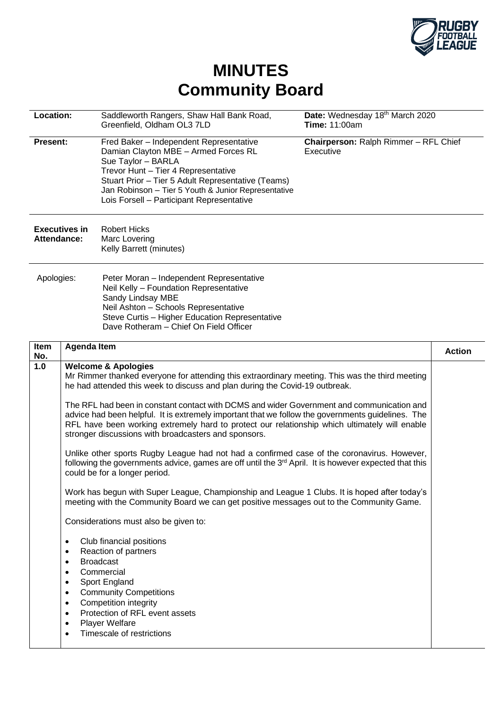

## **MINUTES Community Board**

| Location:                                  |                                                                                        | Saddleworth Rangers, Shaw Hall Bank Road,<br>Greenfield, Oldham OL3 7LD                                                                                                                                                                                                                                                                                                                                                                                                                                                                                                                                                                                                                                                                                                                                                                                                                                                                                                                                                                                                                                                                                                                                                                                                                                                       | Date: Wednesday 18th March 2020<br><b>Time: 11:00am</b> |               |
|--------------------------------------------|----------------------------------------------------------------------------------------|-------------------------------------------------------------------------------------------------------------------------------------------------------------------------------------------------------------------------------------------------------------------------------------------------------------------------------------------------------------------------------------------------------------------------------------------------------------------------------------------------------------------------------------------------------------------------------------------------------------------------------------------------------------------------------------------------------------------------------------------------------------------------------------------------------------------------------------------------------------------------------------------------------------------------------------------------------------------------------------------------------------------------------------------------------------------------------------------------------------------------------------------------------------------------------------------------------------------------------------------------------------------------------------------------------------------------------|---------------------------------------------------------|---------------|
| <b>Present:</b>                            |                                                                                        | Fred Baker - Independent Representative<br>Damian Clayton MBE - Armed Forces RL<br>Sue Taylor - BARLA<br>Trevor Hunt - Tier 4 Representative<br>Stuart Prior - Tier 5 Adult Representative (Teams)<br>Jan Robinson - Tier 5 Youth & Junior Representative<br>Lois Forsell - Participant Representative                                                                                                                                                                                                                                                                                                                                                                                                                                                                                                                                                                                                                                                                                                                                                                                                                                                                                                                                                                                                                        | Chairperson: Ralph Rimmer - RFL Chief<br>Executive      |               |
| <b>Executives in</b><br><b>Attendance:</b> |                                                                                        | <b>Robert Hicks</b><br>Marc Lovering<br>Kelly Barrett (minutes)                                                                                                                                                                                                                                                                                                                                                                                                                                                                                                                                                                                                                                                                                                                                                                                                                                                                                                                                                                                                                                                                                                                                                                                                                                                               |                                                         |               |
| Apologies:                                 |                                                                                        | Peter Moran - Independent Representative<br>Neil Kelly - Foundation Representative<br>Sandy Lindsay MBE<br>Neil Ashton - Schools Representative<br>Steve Curtis - Higher Education Representative<br>Dave Rotheram - Chief On Field Officer                                                                                                                                                                                                                                                                                                                                                                                                                                                                                                                                                                                                                                                                                                                                                                                                                                                                                                                                                                                                                                                                                   |                                                         |               |
| Item<br>No.                                | <b>Agenda Item</b>                                                                     |                                                                                                                                                                                                                                                                                                                                                                                                                                                                                                                                                                                                                                                                                                                                                                                                                                                                                                                                                                                                                                                                                                                                                                                                                                                                                                                               |                                                         | <b>Action</b> |
| 1.0                                        | $\bullet$<br>٠<br>٠<br>٠<br>٠<br>$\bullet$<br>$\bullet$<br>$\bullet$<br>$\bullet$<br>٠ | <b>Welcome &amp; Apologies</b><br>Mr Rimmer thanked everyone for attending this extraordinary meeting. This was the third meeting<br>he had attended this week to discuss and plan during the Covid-19 outbreak.<br>The RFL had been in constant contact with DCMS and wider Government and communication and<br>advice had been helpful. It is extremely important that we follow the governments guidelines. The<br>RFL have been working extremely hard to protect our relationship which ultimately will enable<br>stronger discussions with broadcasters and sponsors.<br>Unlike other sports Rugby League had not had a confirmed case of the coronavirus. However,<br>following the governments advice, games are off until the 3 <sup>rd</sup> April. It is however expected that this<br>could be for a longer period.<br>Work has begun with Super League, Championship and League 1 Clubs. It is hoped after today's<br>meeting with the Community Board we can get positive messages out to the Community Game.<br>Considerations must also be given to:<br>Club financial positions<br>Reaction of partners<br><b>Broadcast</b><br>Commercial<br>Sport England<br><b>Community Competitions</b><br>Competition integrity<br>Protection of RFL event assets<br><b>Player Welfare</b><br>Timescale of restrictions |                                                         |               |